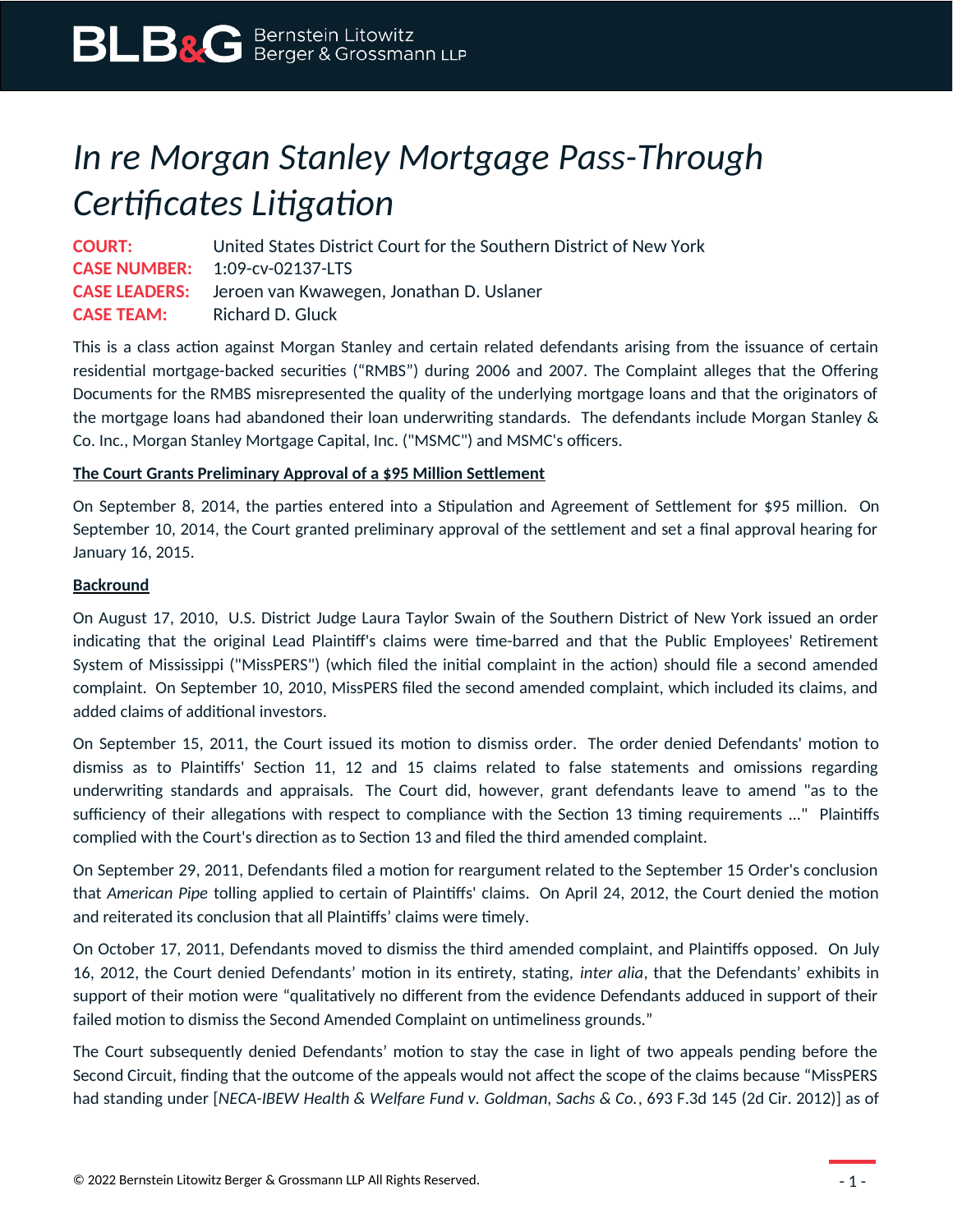## *In re Morgan Stanley Mortgage Pass-Through Certificates Litigation*

**COURT:** United States District Court for the Southern District of New York **CASE NUMBER:** 1:09-cv-02137-LTS **CASE LEADERS:** Jeroen van Kwawegen, Jonathan D. Uslaner **CASE TEAM:** Richard D. Gluck

This is a class action against Morgan Stanley and certain related defendants arising from the issuance of certain residential mortgage-backed securities ("RMBS") during 2006 and 2007. The Complaint alleges that the Offering Documents for the RMBS misrepresented the quality of the underlying mortgage loans and that the originators of the mortgage loans had abandoned their loan underwriting standards. The defendants include Morgan Stanley & Co. Inc., Morgan Stanley Mortgage Capital, Inc. ("MSMC") and MSMC's officers.

## **The Court Grants Preliminary Approval of a \$95 Million Settlement**

On September 8, 2014, the parties entered into a Stipulation and Agreement of Settlement for \$95 million. On September 10, 2014, the Court granted preliminary approval of the settlement and set a final approval hearing for January 16, 2015.

## **Backround**

On August 17, 2010, U.S. District Judge Laura Taylor Swain of the Southern District of New York issued an order indicating that the original Lead Plaintiff's claims were time-barred and that the Public Employees' Retirement System of Mississippi ("MissPERS") (which filed the initial complaint in the action) should file a second amended complaint. On September 10, 2010, MissPERS filed the second amended complaint, which included its claims, and added claims of additional investors.

On September 15, 2011, the Court issued its motion to dismiss order. The order denied Defendants' motion to dismiss as to Plaintiffs' Section 11, 12 and 15 claims related to false statements and omissions regarding underwriting standards and appraisals. The Court did, however, grant defendants leave to amend "as to the sufficiency of their allegations with respect to compliance with the Section 13 timing requirements ..." Plaintiffs complied with the Court's direction as to Section 13 and filed the third amended complaint.

On September 29, 2011, Defendants filed a motion for reargument related to the September 15 Order's conclusion that *American Pipe* tolling applied to certain of Plaintiffs' claims. On April 24, 2012, the Court denied the motion and reiterated its conclusion that all Plaintiffs' claims were timely.

On October 17, 2011, Defendants moved to dismiss the third amended complaint, and Plaintiffs opposed. On July 16, 2012, the Court denied Defendants' motion in its entirety, stating, *inter alia*, that the Defendants' exhibits in support of their motion were "qualitatively no different from the evidence Defendants adduced in support of their failed motion to dismiss the Second Amended Complaint on untimeliness grounds."

The Court subsequently denied Defendants' motion to stay the case in light of two appeals pending before the Second Circuit, finding that the outcome of the appeals would not affect the scope of the claims because "MissPERS had standing under [*NECA-IBEW Health & Welfare Fund v. Goldman, Sachs & Co.*, 693 F.3d 145 (2d Cir. 2012)] as of